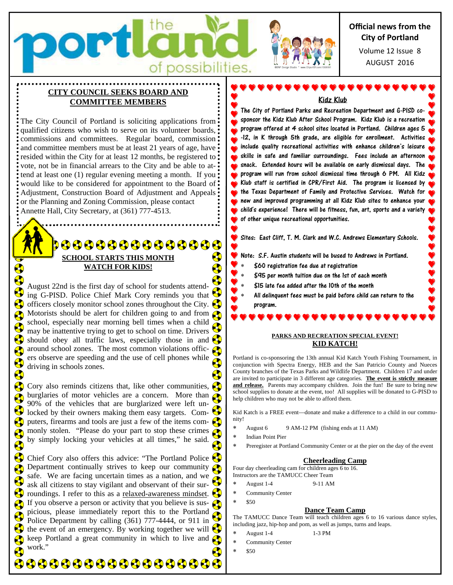

## **CITY COUNCIL SEEKS BOARD AND COMMITTEE MEMBERS**

The City Council of Portland is soliciting applications from qualified citizens who wish to serve on its volunteer boards, commissions and committees. Regular board, commission and committee members must be at least 21 years of age, have resided within the City for at least 12 months, be registered to: vote, not be in financial arrears to the City and be able to attend at least one (1) regular evening meeting a month. If you would like to be considered for appointment to the Board of: Adjustment, Construction Board of Adjustment and Appeals or the Planning and Zoning Commission, please contact Annette Hall, City Secretary, at (361) 777-4513.

# 00000000000000 **SCHOOL STARTS THIS MONTH WATCH FOR KIDS!**

August 22nd is the first day of school for students attending G-PISD. Police Chief Mark Cory reminds you that officers closely monitor school zones throughout the City. Motorists should be alert for children going to and from school, especially near morning bell times when a child may be inattentive trying to get to school on time. Drivers should obey all traffic laws, especially those in and  $\heartsuit$  $\alpha$  around school zones. The most common violations officers observe are speeding and the use of cell phones while driving in schools zones.

Cory also reminds citizens that, like other communities,  $\left\langle \right\rangle$ burglaries of motor vehicles are a concern. More than 90% of the vehicles that are burglarized were left unlocked by their owners making them easy targets. Computers, firearms and tools are just a few of the items commonly stolen. "Please do your part to stop these crimes by simply locking your vehicles at all times," he said.

Chief Cory also offers this advice: "The Portland Police Department continually strives to keep our community  $\bigotimes$ safe. We are facing uncertain times as a nation, and we ask all citizens to stay vigilant and observant of their surroundings. I refer to this as a relaxed-awareness mindset. If you observe a person or activity that you believe is suspicious, please immediately report this to the Portland Police Department by calling (361) 777-4444, or 911 in the event of an emergency. By working together we will  $\heartsuit$ keep Portland a great community in which to live and  $\epsilon$ work."

**\$\$\$\$\$\$\$\$\$\$\$\$\$\$\$\$\$\$** 



The City of Portland Parks and Recreation Department and G-PISD cosponsor the Kidz Klub After School Program. Kidz Klub is a recreation program offered at 4 school sites located in Portland. Children ages 5 -12, in K through 5th grade, are eligible for enrollment. Activities include quality recreational activities with enhance children's leisure skills in safe and familiar surroundings. Fees include an afternoon snack. Extended hours will be available on early dismissal days. The program will run from school dismissal time through 6 PM. All Kidz Klub staff is certified in CPR/First Aid. The program is licensed by the Texas Department of Family and Protective Services. Watch for new and improved programming at all Kidz Klub sites to enhance your child's experience! There will be fitness, fun, art, sports and a variety of other unique recreational opportunities.

Sites: East Cliff, T. M. Clark and W.C. Andrews Elementary Schools.

#### Note: S.F. Austin students will be bused to Andrews in Portland.

- \$60 registration fee due at registration
- \$95 per month tuition due on the 1st of each month
- \$15 late fee added after the 10th of the month
- All delinquent fees must be paid before child can return to the program.

#### **PARKS AND RECREATION SPECIAL EVENT! KID KATCH!**

Portland is co-sponsoring the 13th annual Kid Katch Youth Fishing Tournament, in conjunction with Spectra Energy, HEB and the San Patricio County and Nueces County branches of the Texas Parks and Wildlife Department. Children 17 and under are invited to participate in 3 different age categories. **The event is strictly measure**  and release. Parents may accompany children. Join the fun! Be sure to bring new school supplies to donate at the event, too! All supplies will be donated to G-PISD to help children who may not be able to afford them.

Kid Katch is a FREE event—donate and make a difference to a child in our community!

- August 6 9 AM-12 PM (fishing ends at 11 AM)
- Indian Point Pier
- Preregister at Portland Community Center or at the pier on the day of the event

#### **Cheerleading Camp**

Four day cheerleading cam for children ages 6 to 16.

- Instructors are the TAMUCC Cheer Team August 1-4 9-11 AM
- Community Center
- \$50

#### **Dance Team Camp**

The TAMUCC Dance Team will teach children ages 6 to 16 various dance styles, including jazz, hip-hop and pom, as well as jumps, turns and leaps.

- August 1-4 1-3 PM
- Community Center
- \$50